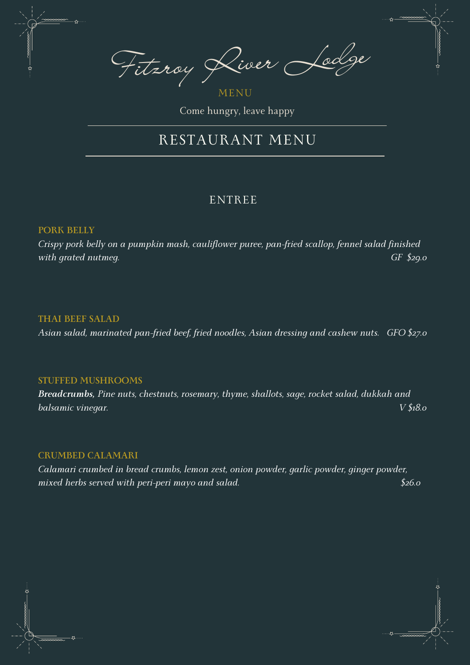Fitzroy River Lodge

MENU Come hungry, leave happy

## RESTAURANT MENU

## ENTREE

## **PORK BELLY**

*Crispy pork belly on a pumpkin mash, cauliflower puree, pan-fried scallop, fennel salad finished with grated nutmeg. GF \$29.0*

#### **THAI BEEF SALAD**

*Asian salad, marinated pan-fried beef, fried noodles, Asian dressing and cashew nuts. GFO \$27.0*

#### **STUFFED MUSHROOMS**

*Breadcrumbs, Pine nuts, chestnuts, rosemary, thyme, shallots, sage, rocket salad, dukkah and balsamic vinegar. V \$18.0*

#### **CRUMBED CALAMARI**

*Calamari crumbed in bread crumbs, lemon zest, onion powder, garlic powder, ginger powder, mixed herbs served with peri-peri mayo and salad. \$26.0*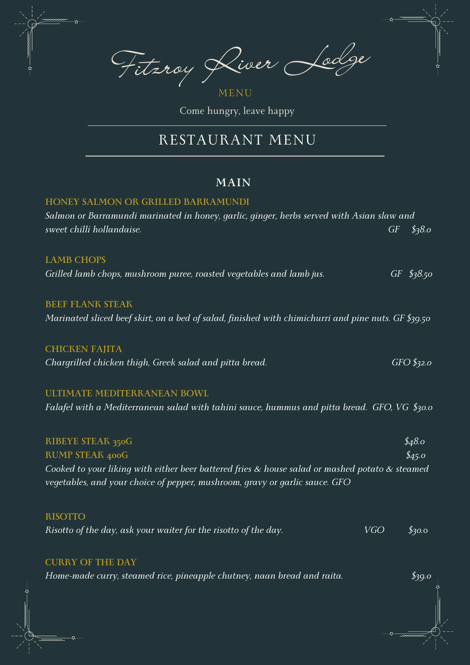Fitzroy River Lodge

MENU Come hungry, leave happy

## RESTAURANT MENU

## **MAIN**

## **HONEY SALMON OR GRILLED BARRAMUNDI**

| Salmon or Barramundi marinated in honey, garlic, ginger, herbs served with Asian slaw and                                                                                           |    |              |
|-------------------------------------------------------------------------------------------------------------------------------------------------------------------------------------|----|--------------|
| sweet chilli hollandaise.                                                                                                                                                           | GF | \$38.0\$     |
| <b>LAMB CHOPS</b>                                                                                                                                                                   |    |              |
| Grilled lamb chops, mushroom puree, roasted vegetables and lamb jus.                                                                                                                |    | $GF$ \$38.50 |
| <b>BEEF FLANK STEAK</b>                                                                                                                                                             |    |              |
| Marinated sliced beef skirt, on a bed of salad, finished with chimichurri and pine nuts. GF \$39.50                                                                                 |    |              |
| <b>CHICKEN FAJITA</b>                                                                                                                                                               |    |              |
| Chargrilled chicken thigh, Greek salad and pitta bread.                                                                                                                             |    | $GFO$ \$32.0 |
| ULTIMATE MEDITERRANEAN BOWL                                                                                                                                                         |    |              |
| Falafel with a Mediterranean salad with tahini sauce, hummus and pitta bread. GFO, VG $$30.0$                                                                                       |    |              |
| <b>RIBEYE STEAK 350G</b>                                                                                                                                                            |    | \$48.0\$     |
| <b>RUMP STEAK 400G</b>                                                                                                                                                              |    | \$45.0       |
| Cooked to your liking with either beer battered fries $\&$ house salad or mashed potato $\&$ steamed<br>vegetables, and your choice of pepper, mushroom, gravy or garlic sauce. GFO |    |              |

## **RISOTTO**

z,

| Risotto of the day, ask your waiter for the risotto of the day. | <b>VGO</b> | \$30.0 |
|-----------------------------------------------------------------|------------|--------|
|-----------------------------------------------------------------|------------|--------|

## **CURRY OF THE DAY**

*Home-made curry, steamed rice, pineapple chutney, naan bread and raita. \$39.0*